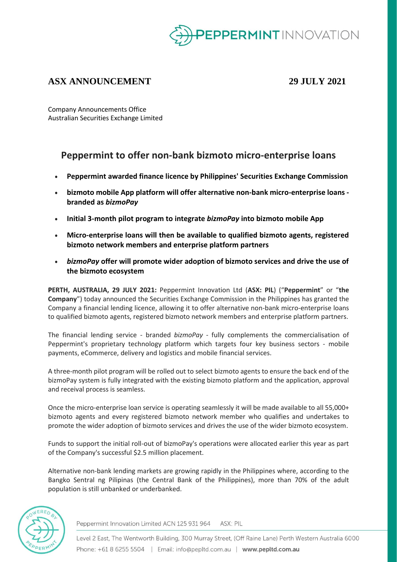

## **ASX ANNOUNCEMENT 29 JULY 2021**

Company Announcements Office Australian Securities Exchange Limited

# **Peppermint to offer non-bank bizmoto micro-enterprise loans**

- **Peppermint awarded finance licence by Philippines' Securities Exchange Commission**
- **bizmoto mobile App platform will offer alternative non-bank micro-enterprise loans branded as** *bizmoPay*
- **Initial 3-month pilot program to integrate** *bizmoPay* **into bizmoto mobile App**
- **Micro-enterprise loans will then be available to qualified bizmoto agents, registered bizmoto network members and enterprise platform partners**
- *bizmoPay* **offer will promote wider adoption of bizmoto services and drive the use of the bizmoto ecosystem**

**PERTH, AUSTRALIA, 29 JULY 2021:** Peppermint Innovation Ltd (**ASX: PIL**) ("**Peppermint**" or "**the Company**") today announced the Securities Exchange Commission in the Philippines has granted the Company a financial lending licence, allowing it to offer alternative non-bank micro-enterprise loans to qualified bizmoto agents, registered bizmoto network members and enterprise platform partners.

The financial lending service - branded *bizmoPay* - fully complements the commercialisation of Peppermint's proprietary technology platform which targets four key business sectors - mobile payments, eCommerce, delivery and logistics and mobile financial services.

A three-month pilot program will be rolled out to select bizmoto agents to ensure the back end of the bizmoPay system is fully integrated with the existing bizmoto platform and the application, approval and receival process is seamless.

Once the micro-enterprise loan service is operating seamlessly it will be made available to all 55,000+ bizmoto agents and every registered bizmoto network member who qualifies and undertakes to promote the wider adoption of bizmoto services and drives the use of the wider bizmoto ecosystem.

Funds to support the initial roll-out of bizmoPay's operations were allocated earlier this year as part of the Company's successful \$2.5 million placement.

Alternative non-bank lending markets are growing rapidly in the Philippines where, according to the Bangko Sentral ng Pilipinas (the Central Bank of the Philippines), more than 70% of the adult population is still unbanked or underbanked.



Peppermint Innovation Limited ACN 125 931 964 ASX: PIL